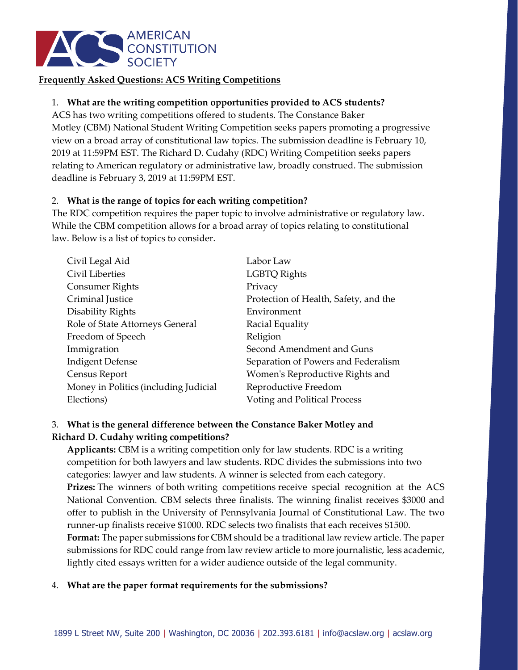

### **Frequently Asked Questions: ACS Writing Competitions**

## 1. **What are the writing competition opportunities provided to ACS students?**

ACS has two writing competitions offered to students. The Constance Baker Motley (CBM) National Student Writing Competition seeks papers promoting a progressive view on a broad array of constitutional law topics. The submission deadline is February 10, 2019 at 11:59PM EST. The Richard D. Cudahy (RDC) Writing Competition seeks papers relating to American regulatory or administrative law, broadly construed. The submission deadline is February 3, 2019 at 11:59PM EST.

#### 2. **What is the range of topics for each writing competition?**

The RDC competition requires the paper topic to involve administrative or regulatory law. While the CBM competition allows for a broad array of topics relating to constitutional law. Below is a list of topics to consider.

| Civil Legal Aid                       | Labor Law                             |
|---------------------------------------|---------------------------------------|
| Civil Liberties                       | <b>LGBTQ Rights</b>                   |
| Consumer Rights                       | Privacy                               |
| Criminal Justice                      | Protection of Health, Safety, and the |
| Disability Rights                     | Environment                           |
| Role of State Attorneys General       | Racial Equality                       |
| Freedom of Speech                     | Religion                              |
| Immigration                           | Second Amendment and Guns             |
| <b>Indigent Defense</b>               | Separation of Powers and Federalism   |
| Census Report                         | Women's Reproductive Rights and       |
| Money in Politics (including Judicial | Reproductive Freedom                  |
| Elections)                            | Voting and Political Process          |
|                                       |                                       |

# 3. **What is the general difference between the Constance Baker Motley and Richard D. Cudahy writing competitions?**

**Applicants:** CBM is a writing competition only for law students. RDC is a writing competition for both lawyers and law students. RDC divides the submissions into two categories: lawyer and law students. A winner is selected from each category. **Prizes:** The winners of both writing competitions receive special recognition at the ACS National Convention. CBM selects three finalists. The winning finalist receives \$3000 and offer to publish in the University of Pennsylvania Journal of Constitutional Law. The two runner-up finalists receive \$1000. RDC selects two finalists that each receives \$1500. **Format:** The paper submissions for CBM should be a traditional law review article. The paper submissions for RDC could range from law review article to more journalistic, less academic, lightly cited essays written for a wider audience outside of the legal community.

#### 4. **What are the paper format requirements for the submissions?**